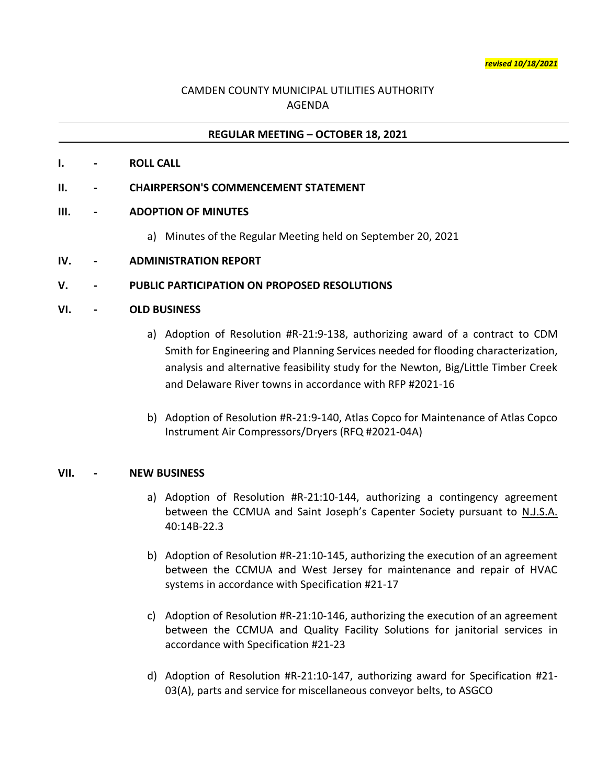# CAMDEN COUNTY MUNICIPAL UTILITIES AUTHORITY AGENDA

### **REGULAR MEETING – OCTOBER 18, 2021**

**I. - ROLL CALL**

#### **II. - CHAIRPERSON'S COMMENCEMENT STATEMENT**

#### **III. - ADOPTION OF MINUTES**

- a) Minutes of the Regular Meeting held on September 20, 2021
- **IV. - ADMINISTRATION REPORT**

#### **V. - PUBLIC PARTICIPATION ON PROPOSED RESOLUTIONS**

#### **VI. - OLD BUSINESS**

- a) Adoption of Resolution #R-21:9-138, authorizing award of a contract to CDM Smith for Engineering and Planning Services needed for flooding characterization, analysis and alternative feasibility study for the Newton, Big/Little Timber Creek and Delaware River towns in accordance with RFP #2021-16
- b) Adoption of Resolution #R-21:9-140, Atlas Copco for Maintenance of Atlas Copco Instrument Air Compressors/Dryers (RFQ #2021-04A)

#### **VII. - NEW BUSINESS**

- a) Adoption of Resolution #R-21:10-144, authorizing a contingency agreement between the CCMUA and Saint Joseph's Capenter Society pursuant to N.J.S.A. 40:14B-22.3
- b) Adoption of Resolution #R-21:10-145, authorizing the execution of an agreement between the CCMUA and West Jersey for maintenance and repair of HVAC systems in accordance with Specification #21-17
- c) Adoption of Resolution #R-21:10-146, authorizing the execution of an agreement between the CCMUA and Quality Facility Solutions for janitorial services in accordance with Specification #21-23
- d) Adoption of Resolution #R-21:10-147, authorizing award for Specification #21- 03(A), parts and service for miscellaneous conveyor belts, to ASGCO